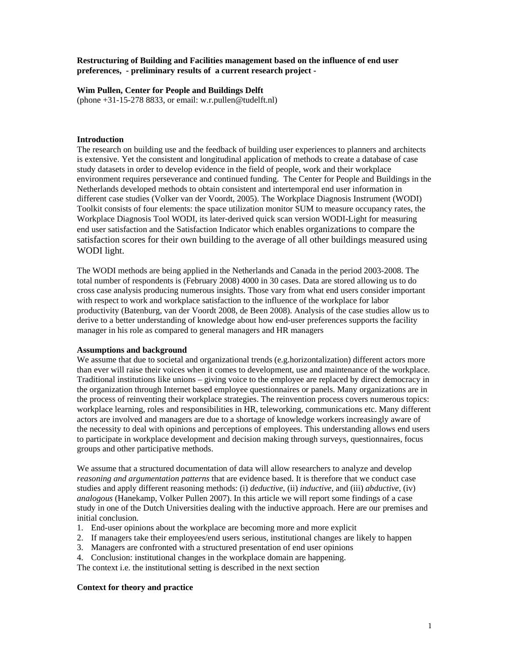# **Restructuring of Building and Facilities management based on the influence of end user preferences, - preliminary results of a current research project -**

## **Wim Pullen, Center for People and Buildings Delft**

(phone +31-15-278 8833, or email: w.r.pullen@tudelft.nl)

### **Introduction**

The research on building use and the feedback of building user experiences to planners and architects is extensive. Yet the consistent and longitudinal application of methods to create a database of case study datasets in order to develop evidence in the field of people, work and their workplace environment requires perseverance and continued funding. The Center for People and Buildings in the Netherlands developed methods to obtain consistent and intertemporal end user information in different case studies (Volker van der Voordt, 2005). The Workplace Diagnosis Instrument (WODI) Toolkit consists of four elements: the space utilization monitor SUM to measure occupancy rates, the Workplace Diagnosis Tool WODI, its later-derived quick scan version WODI-Light for measuring end user satisfaction and the Satisfaction Indicator which enables organizations to compare the satisfaction scores for their own building to the average of all other buildings measured using WODI light.

The WODI methods are being applied in the Netherlands and Canada in the period 2003-2008. The total number of respondents is (February 2008) 4000 in 30 cases. Data are stored allowing us to do cross case analysis producing numerous insights. Those vary from what end users consider important with respect to work and workplace satisfaction to the influence of the workplace for labor productivity (Batenburg, van der Voordt 2008, de Been 2008). Analysis of the case studies allow us to derive to a better understanding of knowledge about how end-user preferences supports the facility manager in his role as compared to general managers and HR managers

#### **Assumptions and background**

We assume that due to societal and organizational trends (e.g.horizontalization) different actors more than ever will raise their voices when it comes to development, use and maintenance of the workplace. Traditional institutions like unions – giving voice to the employee are replaced by direct democracy in the organization through Internet based employee questionnaires or panels. Many organizations are in the process of reinventing their workplace strategies. The reinvention process covers numerous topics: workplace learning, roles and responsibilities in HR, teleworking, communications etc. Many different actors are involved and managers are due to a shortage of knowledge workers increasingly aware of the necessity to deal with opinions and perceptions of employees. This understanding allows end users to participate in workplace development and decision making through surveys, questionnaires, focus groups and other participative methods.

We assume that a structured documentation of data will allow researchers to analyze and develop *reasoning and argumentation patterns* that are evidence based. It is therefore that we conduct case studies and apply different reasoning methods: (i) *deductive*, (ii) *inductive*, and (iii) *abductive*, (iv) *analogous* (Hanekamp, Volker Pullen 2007). In this article we will report some findings of a case study in one of the Dutch Universities dealing with the inductive approach. Here are our premises and initial conclusion.

- 1. End-user opinions about the workplace are becoming more and more explicit
- 2. If managers take their employees/end users serious, institutional changes are likely to happen
- 3. Managers are confronted with a structured presentation of end user opinions
- 4. Conclusion: institutional changes in the workplace domain are happening.

The context i.e. the institutional setting is described in the next section

#### **Context for theory and practice**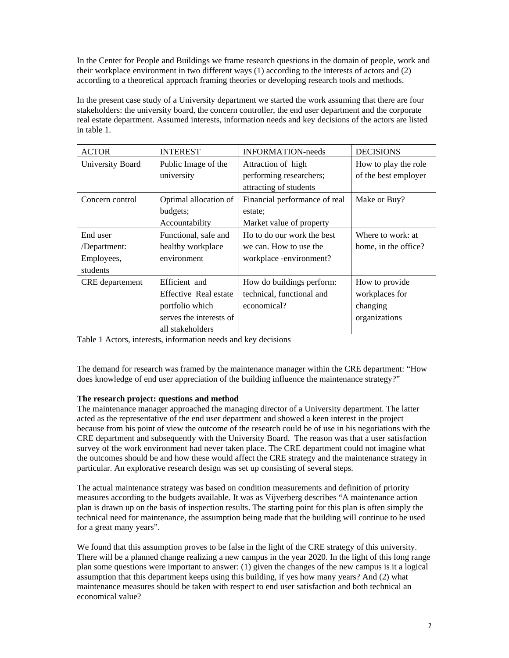In the Center for People and Buildings we frame research questions in the domain of people, work and their workplace environment in two different ways (1) according to the interests of actors and (2) according to a theoretical approach framing theories or developing research tools and methods.

In the present case study of a University department we started the work assuming that there are four stakeholders: the university board, the concern controller, the end user department and the corporate real estate department. Assumed interests, information needs and key decisions of the actors are listed in table 1.

| <b>ACTOR</b>           | <b>INTEREST</b>         | <b>INFORMATION-needs</b>      | <b>DECISIONS</b>     |
|------------------------|-------------------------|-------------------------------|----------------------|
| University Board       | Public Image of the     | Attraction of high            | How to play the role |
|                        | university              | performing researchers;       | of the best employer |
|                        |                         | attracting of students        |                      |
| Concern control        | Optimal allocation of   | Financial performance of real | Make or Buy?         |
|                        | budgets;                | estate:                       |                      |
|                        | Accountability          | Market value of property      |                      |
| End user               | Functional, safe and    | Ho to do our work the best    | Where to work: at    |
| /Department:           | healthy workplace       | we can. How to use the        | home, in the office? |
| Employees,             | environment             | workplace -environment?       |                      |
| students               |                         |                               |                      |
| <b>CRE</b> departement | Efficient and           | How do buildings perform:     | How to provide       |
|                        | Effective Real estate   | technical, functional and     | workplaces for       |
|                        | portfolio which         | economical?                   | changing             |
|                        | serves the interests of |                               | organizations        |
|                        | all stakeholders        |                               |                      |

Table 1 Actors, interests, information needs and key decisions

The demand for research was framed by the maintenance manager within the CRE department: "How does knowledge of end user appreciation of the building influence the maintenance strategy?"

# **The research project: questions and method**

The maintenance manager approached the managing director of a University department. The latter acted as the representative of the end user department and showed a keen interest in the project because from his point of view the outcome of the research could be of use in his negotiations with the CRE department and subsequently with the University Board. The reason was that a user satisfaction survey of the work environment had never taken place. The CRE department could not imagine what the outcomes should be and how these would affect the CRE strategy and the maintenance strategy in particular. An explorative research design was set up consisting of several steps.

The actual maintenance strategy was based on condition measurements and definition of priority measures according to the budgets available. It was as Vijverberg describes "A maintenance action plan is drawn up on the basis of inspection results. The starting point for this plan is often simply the technical need for maintenance, the assumption being made that the building will continue to be used for a great many years".

We found that this assumption proves to be false in the light of the CRE strategy of this university. There will be a planned change realizing a new campus in the year 2020. In the light of this long range plan some questions were important to answer: (1) given the changes of the new campus is it a logical assumption that this department keeps using this building, if yes how many years? And (2) what maintenance measures should be taken with respect to end user satisfaction and both technical an economical value?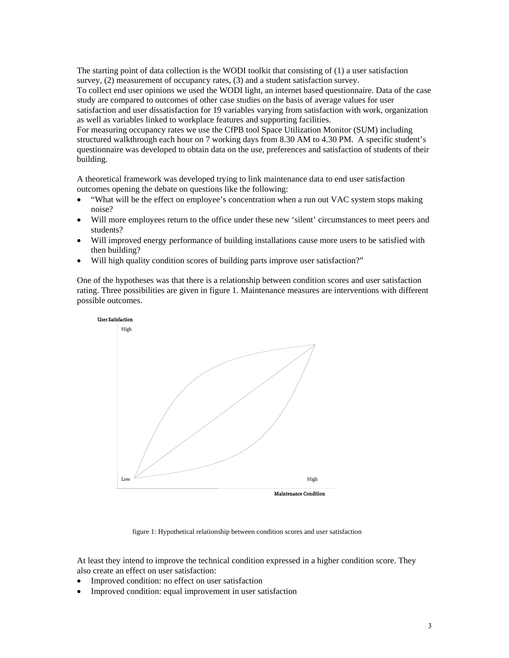The starting point of data collection is the WODI toolkit that consisting of (1) a user satisfaction survey, (2) measurement of occupancy rates, (3) and a student satisfaction survey.

To collect end user opinions we used the WODI light, an internet based questionnaire. Data of the case study are compared to outcomes of other case studies on the basis of average values for user satisfaction and user dissatisfaction for 19 variables varying from satisfaction with work, organization as well as variables linked to workplace features and supporting facilities.

For measuring occupancy rates we use the CfPB tool Space Utilization Monitor (SUM) including structured walkthrough each hour on 7 working days from 8.30 AM to 4.30 PM. A specific student's questionnaire was developed to obtain data on the use, preferences and satisfaction of students of their building.

A theoretical framework was developed trying to link maintenance data to end user satisfaction outcomes opening the debate on questions like the following:

- "What will be the effect on employee's concentration when a run out VAC system stops making noise?
- Will more employees return to the office under these new 'silent' circumstances to meet peers and students?
- Will improved energy performance of building installations cause more users to be satisfied with then building?
- Will high quality condition scores of building parts improve user satisfaction?"

One of the hypotheses was that there is a relationship between condition scores and user satisfaction rating. Three possibilities are given in figure 1. Maintenance measures are interventions with different possible outcomes.



figure 1: Hypothetical relationship between condition scores and user satisfaction

At least they intend to improve the technical condition expressed in a higher condition score. They also create an effect on user satisfaction:

- Improved condition: no effect on user satisfaction
- Improved condition: equal improvement in user satisfaction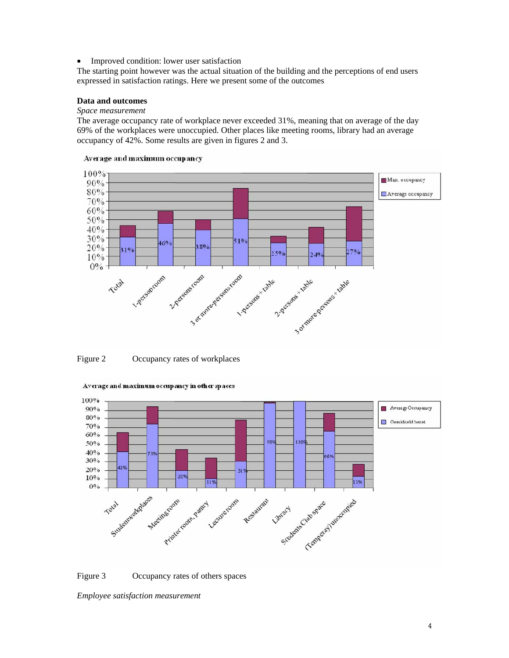• Improved condition: lower user satisfaction

The starting point however was the actual situation of the building and the perceptions of end users expressed in satisfaction ratings. Here we present some of the outcomes

# **Data and outcomes**

#### *Space measurement*

The average occupancy rate of workplace never exceeded 31%, meaning that on average of the day 69% of the workplaces were unoccupied. Other places like meeting rooms, library had an average occupancy of 42%. Some results are given in figures 2 and 3.



#### Average and maximum occupancy

Figure 2 Occupancy rates of workplaces





Figure 3 Occupancy rates of others spaces

*Employee satisfaction measurement*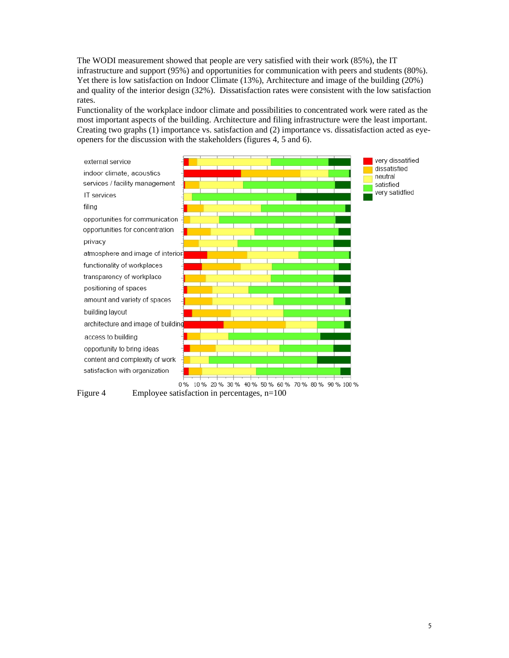The WODI measurement showed that people are very satisfied with their work (85%), the IT infrastructure and support (95%) and opportunities for communication with peers and students (80%). Yet there is low satisfaction on Indoor Climate (13%), Architecture and image of the building (20%) and quality of the interior design (32%). Dissatisfaction rates were consistent with the low satisfaction rates.

Functionality of the workplace indoor climate and possibilities to concentrated work were rated as the most important aspects of the building. Architecture and filing infrastructure were the least important. Creating two graphs (1) importance vs. satisfaction and (2) importance vs. dissatisfaction acted as eyeopeners for the discussion with the stakeholders (figures 4, 5 and 6).



Figure 4 Employee satisfaction in percentages, n=100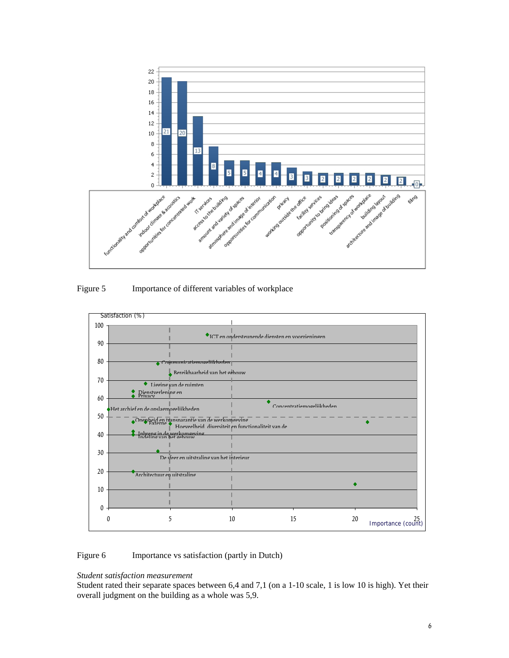

Figure 5 Importance of different variables of workplace



Figure 6 Importance vs satisfaction (partly in Dutch)

# *Student satisfaction measurement*

Student rated their separate spaces between 6,4 and 7,1 (on a 1-10 scale, 1 is low 10 is high). Yet their overall judgment on the building as a whole was 5,9.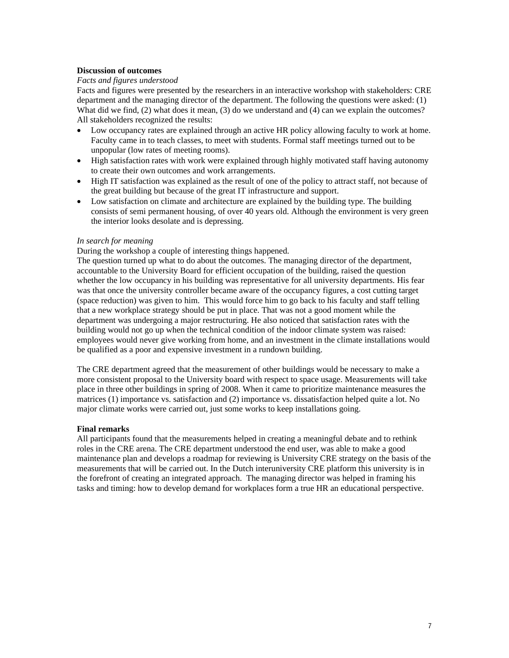# **Discussion of outcomes**

# *Facts and figures understood*

Facts and figures were presented by the researchers in an interactive workshop with stakeholders: CRE department and the managing director of the department. The following the questions were asked: (1) What did we find, (2) what does it mean, (3) do we understand and (4) can we explain the outcomes? All stakeholders recognized the results:

- Low occupancy rates are explained through an active HR policy allowing faculty to work at home. Faculty came in to teach classes, to meet with students. Formal staff meetings turned out to be unpopular (low rates of meeting rooms).
- High satisfaction rates with work were explained through highly motivated staff having autonomy to create their own outcomes and work arrangements.
- High IT satisfaction was explained as the result of one of the policy to attract staff, not because of the great building but because of the great IT infrastructure and support.
- Low satisfaction on climate and architecture are explained by the building type. The building consists of semi permanent housing, of over 40 years old. Although the environment is very green the interior looks desolate and is depressing.

## *In search for meaning*

During the workshop a couple of interesting things happened.

The question turned up what to do about the outcomes. The managing director of the department, accountable to the University Board for efficient occupation of the building, raised the question whether the low occupancy in his building was representative for all university departments. His fear was that once the university controller became aware of the occupancy figures, a cost cutting target (space reduction) was given to him. This would force him to go back to his faculty and staff telling that a new workplace strategy should be put in place. That was not a good moment while the department was undergoing a major restructuring. He also noticed that satisfaction rates with the building would not go up when the technical condition of the indoor climate system was raised: employees would never give working from home, and an investment in the climate installations would be qualified as a poor and expensive investment in a rundown building.

The CRE department agreed that the measurement of other buildings would be necessary to make a more consistent proposal to the University board with respect to space usage. Measurements will take place in three other buildings in spring of 2008. When it came to prioritize maintenance measures the matrices (1) importance vs. satisfaction and (2) importance vs. dissatisfaction helped quite a lot. No major climate works were carried out, just some works to keep installations going.

#### **Final remarks**

All participants found that the measurements helped in creating a meaningful debate and to rethink roles in the CRE arena. The CRE department understood the end user, was able to make a good maintenance plan and develops a roadmap for reviewing is University CRE strategy on the basis of the measurements that will be carried out. In the Dutch interuniversity CRE platform this university is in the forefront of creating an integrated approach. The managing director was helped in framing his tasks and timing: how to develop demand for workplaces form a true HR an educational perspective.